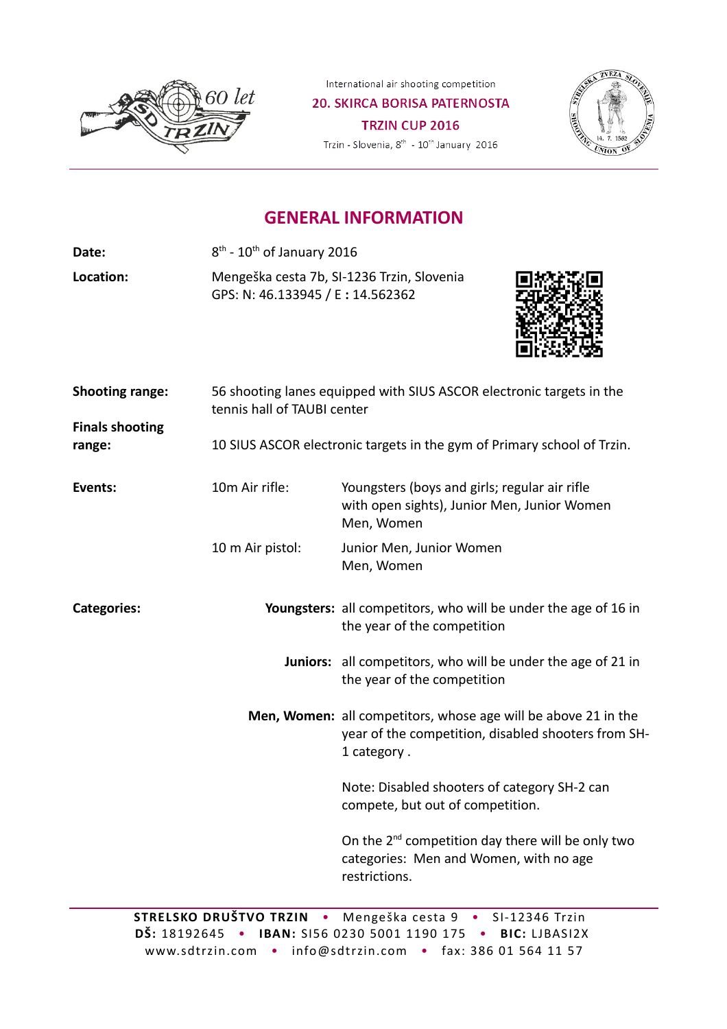

International air shooting competition

**20. SKIRCA BORISA PATERNOSTA** TRZIN CUP 2016 Trzin - Slovenia,  $8^{\text{th}}$  -  $10^{\text{th}}$  January 2016



## **GENERAL INFORMATION**

Date:  $8^{\text{th}}$  -  $10^{\text{th}}$  of January 2016

**Location:** Mengeška cesta 7b, SI-1236 Trzin, Slovenia GPS: N: 46.133945 / E **:** 14.562362



| <b>Shooting range:</b>           | 56 shooting lanes equipped with SIUS ASCOR electronic targets in the<br>tennis hall of TAUBI center |                                                                                                                                      |  |  |
|----------------------------------|-----------------------------------------------------------------------------------------------------|--------------------------------------------------------------------------------------------------------------------------------------|--|--|
| <b>Finals shooting</b><br>range: | 10 SIUS ASCOR electronic targets in the gym of Primary school of Trzin.                             |                                                                                                                                      |  |  |
| Events:                          | 10m Air rifle:                                                                                      | Youngsters (boys and girls; regular air rifle<br>with open sights), Junior Men, Junior Women<br>Men, Women                           |  |  |
|                                  | 10 m Air pistol:                                                                                    | Junior Men, Junior Women<br>Men, Women                                                                                               |  |  |
| <b>Categories:</b>               |                                                                                                     | Youngsters: all competitors, who will be under the age of 16 in<br>the year of the competition                                       |  |  |
|                                  |                                                                                                     | <b>Juniors:</b> all competitors, who will be under the age of 21 in<br>the year of the competition                                   |  |  |
|                                  |                                                                                                     | Men, Women: all competitors, whose age will be above 21 in the<br>year of the competition, disabled shooters from SH-<br>1 category. |  |  |
|                                  |                                                                                                     | Note: Disabled shooters of category SH-2 can<br>compete, but out of competition.                                                     |  |  |
|                                  |                                                                                                     | On the 2 <sup>nd</sup> competition day there will be only two<br>categories: Men and Women, with no age<br>restrictions.             |  |  |